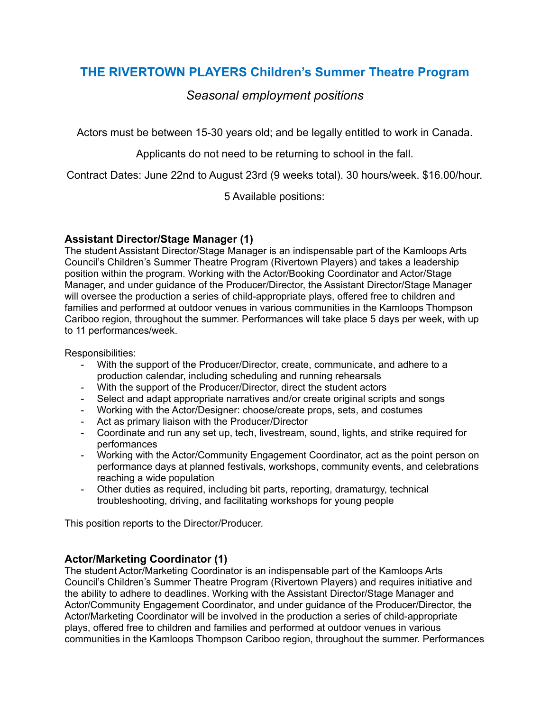# **THE RIVERTOWN PLAYERS Children's Summer Theatre Program**

# *Seasonal employment positions*

Actors must be between 15-30 years old; and be legally entitled to work in Canada.

Applicants do not need to be returning to school in the fall.

Contract Dates: June 22nd to August 23rd (9 weeks total). 30 hours/week. \$16.00/hour.

5 Available positions:

## **Assistant Director/Stage Manager (1)**

The student Assistant Director/Stage Manager is an indispensable part of the Kamloops Arts Council's Children's Summer Theatre Program (Rivertown Players) and takes a leadership position within the program. Working with the Actor/Booking Coordinator and Actor/Stage Manager, and under guidance of the Producer/Director, the Assistant Director/Stage Manager will oversee the production a series of child-appropriate plays, offered free to children and families and performed at outdoor venues in various communities in the Kamloops Thompson Cariboo region, throughout the summer. Performances will take place 5 days per week, with up to 11 performances/week.

Responsibilities:

- With the support of the Producer/Director, create, communicate, and adhere to a production calendar, including scheduling and running rehearsals
- With the support of the Producer/Director, direct the student actors
- Select and adapt appropriate narratives and/or create original scripts and songs
- Working with the Actor/Designer: choose/create props, sets, and costumes
- Act as primary liaison with the Producer/Director
- Coordinate and run any set up, tech, livestream, sound, lights, and strike required for performances
- Working with the Actor/Community Engagement Coordinator, act as the point person on performance days at planned festivals, workshops, community events, and celebrations reaching a wide population
- Other duties as required, including bit parts, reporting, dramaturgy, technical troubleshooting, driving, and facilitating workshops for young people

This position reports to the Director/Producer.

# **Actor/Marketing Coordinator (1)**

The student Actor/Marketing Coordinator is an indispensable part of the Kamloops Arts Council's Children's Summer Theatre Program (Rivertown Players) and requires initiative and the ability to adhere to deadlines. Working with the Assistant Director/Stage Manager and Actor/Community Engagement Coordinator, and under guidance of the Producer/Director, the Actor/Marketing Coordinator will be involved in the production a series of child-appropriate plays, offered free to children and families and performed at outdoor venues in various communities in the Kamloops Thompson Cariboo region, throughout the summer. Performances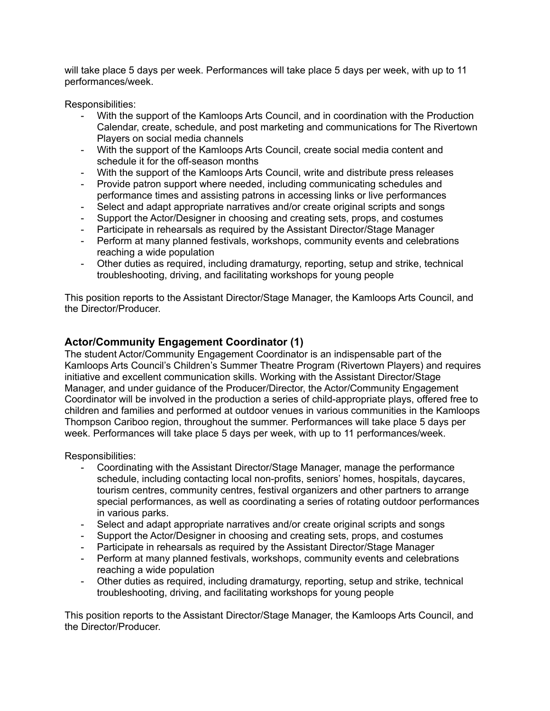will take place 5 days per week. Performances will take place 5 days per week, with up to 11 performances/week.

Responsibilities:

- With the support of the Kamloops Arts Council, and in coordination with the Production Calendar, create, schedule, and post marketing and communications for The Rivertown Players on social media channels
- With the support of the Kamloops Arts Council, create social media content and schedule it for the off-season months
- With the support of the Kamloops Arts Council, write and distribute press releases
- Provide patron support where needed, including communicating schedules and performance times and assisting patrons in accessing links or live performances
- Select and adapt appropriate narratives and/or create original scripts and songs
- Support the Actor/Designer in choosing and creating sets, props, and costumes
- Participate in rehearsals as required by the Assistant Director/Stage Manager
- Perform at many planned festivals, workshops, community events and celebrations reaching a wide population
- Other duties as required, including dramaturgy, reporting, setup and strike, technical troubleshooting, driving, and facilitating workshops for young people

This position reports to the Assistant Director/Stage Manager, the Kamloops Arts Council, and the Director/Producer.

#### **Actor/Community Engagement Coordinator (1)**

The student Actor/Community Engagement Coordinator is an indispensable part of the Kamloops Arts Council's Children's Summer Theatre Program (Rivertown Players) and requires initiative and excellent communication skills. Working with the Assistant Director/Stage Manager, and under guidance of the Producer/Director, the Actor/Community Engagement Coordinator will be involved in the production a series of child-appropriate plays, offered free to children and families and performed at outdoor venues in various communities in the Kamloops Thompson Cariboo region, throughout the summer. Performances will take place 5 days per week. Performances will take place 5 days per week, with up to 11 performances/week.

Responsibilities:

- Coordinating with the Assistant Director/Stage Manager, manage the performance schedule, including contacting local non-profits, seniors' homes, hospitals, daycares, tourism centres, community centres, festival organizers and other partners to arrange special performances, as well as coordinating a series of rotating outdoor performances in various parks.
- Select and adapt appropriate narratives and/or create original scripts and songs
- Support the Actor/Designer in choosing and creating sets, props, and costumes
- Participate in rehearsals as required by the Assistant Director/Stage Manager
- Perform at many planned festivals, workshops, community events and celebrations reaching a wide population
- Other duties as required, including dramaturgy, reporting, setup and strike, technical troubleshooting, driving, and facilitating workshops for young people

This position reports to the Assistant Director/Stage Manager, the Kamloops Arts Council, and the Director/Producer.